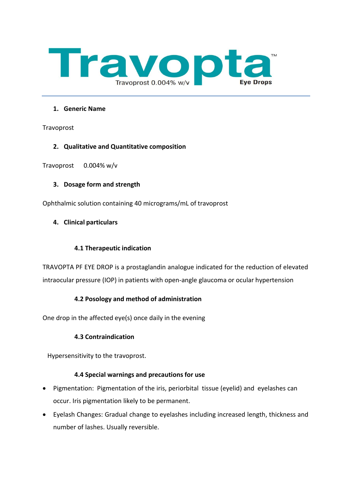

### **1. Generic Name**

Travoprost

## **2. Qualitative and Quantitative composition**

Travoprost 0.004% w/v

## **3. Dosage form and strength**

Ophthalmic solution containing 40 micrograms/mL of travoprost

## **4. Clinical particulars**

## **4.1 Therapeutic indication**

TRAVOPTA PF EYE DROP is a prostaglandin analogue indicated for the reduction of elevated intraocular pressure (IOP) in patients with open-angle glaucoma or ocular hypertension

## **4.2 Posology and method of administration**

One drop in the affected eye(s) once daily in the evening

## **4.3 Contraindication**

Hypersensitivity to the travoprost.

## **4.4 Special warnings and precautions for use**

- Pigmentation: Pigmentation of the iris, periorbital tissue (eyelid) and eyelashes can occur. Iris pigmentation likely to be permanent.
- Eyelash Changes: Gradual change to eyelashes including increased length, thickness and number of lashes. Usually reversible.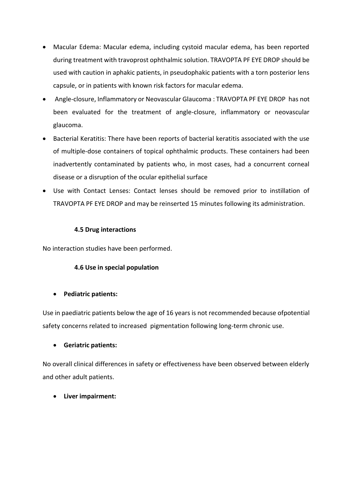- Macular Edema: Macular edema, including cystoid macular edema, has been reported during treatment with travoprost ophthalmic solution. TRAVOPTA PF EYE DROP should be used with caution in aphakic patients, in pseudophakic patients with a torn posterior lens capsule, or in patients with known risk factors for macular edema.
- Angle-closure, Inflammatory or Neovascular Glaucoma : TRAVOPTA PF EYE DROP has not been evaluated for the treatment of angle-closure, inflammatory or neovascular glaucoma.
- Bacterial Keratitis: There have been reports of bacterial keratitis associated with the use of multiple-dose containers of topical ophthalmic products. These containers had been inadvertently contaminated by patients who, in most cases, had a concurrent corneal disease or a disruption of the ocular epithelial surface
- Use with Contact Lenses: Contact lenses should be removed prior to instillation of TRAVOPTA PF EYE DROP and may be reinserted 15 minutes following its administration.

## **4.5 Drug interactions**

No interaction studies have been performed.

# **4.6 Use in special population**

# • **Pediatric patients:**

Use in paediatric patients below the age of 16 years is not recommended because ofpotential safety concerns related to increased pigmentation following long-term chronic use.

# • **Geriatric patients:**

No overall clinical differences in safety or effectiveness have been observed between elderly and other adult patients.

# • **Liver impairment:**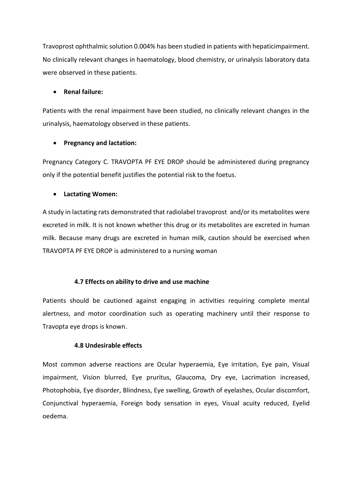Travoprost ophthalmic solution 0.004% has been studied in patients with hepaticimpairment. No clinically relevant changes in haematology, blood chemistry, or urinalysis laboratory data were observed in these patients.

### • **Renal failure:**

Patients with the renal impairment have been studied, no clinically relevant changes in the urinalysis, haematology observed in these patients.

### • **Pregnancy and lactation:**

Pregnancy Category C. TRAVOPTA PF EYE DROP should be administered during pregnancy only if the potential benefit justifies the potential risk to the foetus.

### • **Lactating Women:**

A study in lactating rats demonstrated that radiolabel travoprost and/or its metabolites were excreted in milk. It is not known whether this drug or its metabolites are excreted in human milk. Because many drugs are excreted in human milk, caution should be exercised when TRAVOPTA PF EYE DROP is administered to a nursing woman

## **4.7 Effects on ability to drive and use machine**

Patients should be cautioned against engaging in activities requiring complete mental alertness, and motor coordination such as operating machinery until their response to Travopta eye drops is known.

### **4.8 Undesirable effects**

Most common adverse reactions are Ocular hyperaemia, Eye irritation, Eye pain, Visual impairment, Vision blurred, Eye pruritus, Glaucoma, Dry eye, Lacrimation increased, Photophobia, Eye disorder, Blindness, Eye swelling, Growth of eyelashes, Ocular discomfort, Conjunctival hyperaemia, Foreign body sensation in eyes, Visual acuity reduced, Eyelid oedema.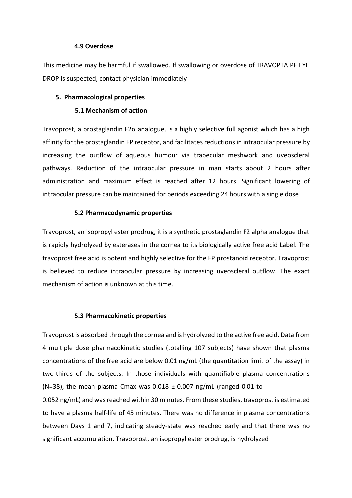#### **4.9 Overdose**

This medicine may be harmful if swallowed. If swallowing or overdose of TRAVOPTA PF EYE DROP is suspected, contact physician immediately

#### **5. Pharmacological properties**

#### **5.1 Mechanism of action**

Travoprost, a prostaglandin F2α analogue, is a highly selective full agonist which has a high affinity for the prostaglandin FP receptor, and facilitates reductions in intraocular pressure by increasing the outflow of aqueous humour via trabecular meshwork and uveoscleral pathways. Reduction of the intraocular pressure in man starts about 2 hours after administration and maximum effect is reached after 12 hours. Significant lowering of intraocular pressure can be maintained for periods exceeding 24 hours with a single dose

#### **5.2 Pharmacodynamic properties**

Travoprost, an isopropyl ester prodrug, it is a synthetic prostaglandin F2 alpha analogue that is rapidly hydrolyzed by esterases in the cornea to its biologically active free acid Label. The travoprost free acid is potent and highly selective for the FP prostanoid receptor. Travoprost is believed to reduce intraocular pressure by increasing uveoscleral outflow. The exact mechanism of action is unknown at this time.

#### **5.3 Pharmacokinetic properties**

Travoprost is absorbed through the cornea and is hydrolyzed to the active free acid. Data from 4 multiple dose pharmacokinetic studies (totalling 107 subjects) have shown that plasma concentrations of the free acid are below 0.01 ng/mL (the quantitation limit of the assay) in two-thirds of the subjects. In those individuals with quantifiable plasma concentrations (N=38), the mean plasma Cmax was  $0.018 \pm 0.007$  ng/mL (ranged 0.01 to 0.052 ng/mL) and was reached within 30 minutes. From these studies, travoprost is estimated to have a plasma half-life of 45 minutes. There was no difference in plasma concentrations between Days 1 and 7, indicating steady-state was reached early and that there was no significant accumulation. Travoprost, an isopropyl ester prodrug, is hydrolyzed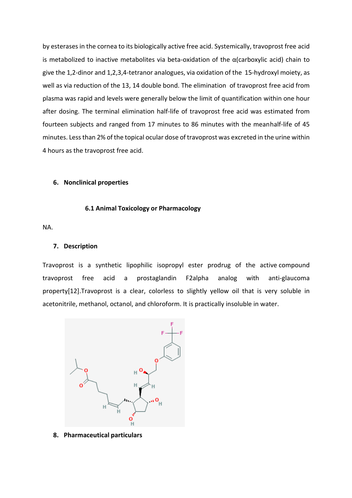by esterases in the cornea to its biologically active free acid. Systemically, travoprost free acid is metabolized to inactive metabolites via beta-oxidation of the  $\alpha$ (carboxylic acid) chain to give the 1,2-dinor and 1,2,3,4-tetranor analogues, via oxidation of the 15-hydroxyl moiety, as well as via reduction of the 13, 14 double bond. The elimination of travoprost free acid from plasma was rapid and levels were generally below the limit of quantification within one hour after dosing. The terminal elimination half-life of travoprost free acid was estimated from fourteen subjects and ranged from 17 minutes to 86 minutes with the meanhalf-life of 45 minutes. Less than 2% of the topical ocular dose of travoprost was excreted in the urine within 4 hours as the travoprost free acid.

#### **6. Nonclinical properties**

#### **6.1 Animal Toxicology or Pharmacology**

NA.

#### **7. Description**

Travoprost is a synthetic lipophilic isopropyl ester prodrug of the active compound travoprost free acid a prostaglandin F2alpha analog with anti-glaucoma property[12].Travoprost is a clear, colorless to slightly yellow oil that is very soluble in acetonitrile, methanol, octanol, and chloroform. It is practically insoluble in water.



**8. Pharmaceutical particulars**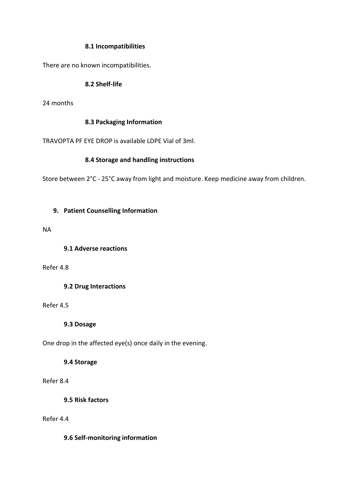### **8.1 Incompatibilities**

There are no known incompatibilities.

### **8.2 Shelf-life**

24 months

### **8.3 Packaging Information**

TRAVOPTA PF EYE DROP is available LDPE Vial of 3ml.

### **8.4 Storage and handling instructions**

Store between 2°C - 25°C away from light and moisture. Keep medicine away from children.

### **9. Patient Counselling Information**

NA

**9.1 Adverse reactions**

Refer 4.8

**9.2 Drug Interactions**

Refer 4.5

**9.3 Dosage**

One drop in the affected eye(s) once daily in the evening.

**9.4 Storage**

Refer 8.4

**9.5 Risk factors**

Refer 4.4

**9.6 Self-monitoring information**